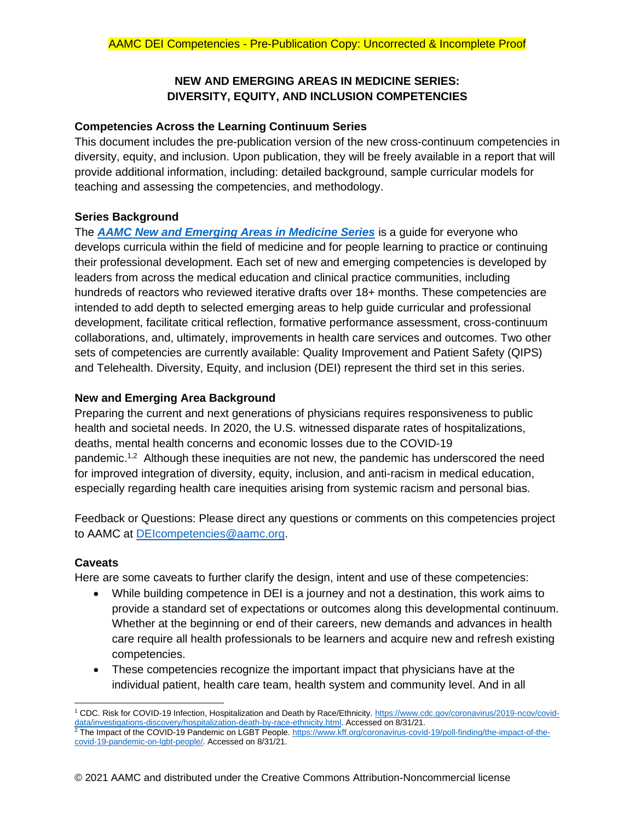# **NEW AND EMERGING AREAS IN MEDICINE SERIES: DIVERSITY, EQUITY, AND INCLUSION COMPETENCIES**

## **Competencies Across the Learning Continuum Series**

This document includes the pre-publication version of the new cross-continuum competencies in diversity, equity, and inclusion. Upon publication, they will be freely available in a report that will provide additional information, including: detailed background, sample curricular models for teaching and assessing the competencies, and methodology.

# **Series Background**

The *[AAMC New and Emerging Areas in Medicine Series](https://www.aamc.org/what-we-do/mission-areas/medical-education/cbme/competency)* is a guide for everyone who develops curricula within the field of medicine and for people learning to practice or continuing their professional development. Each set of new and emerging competencies is developed by leaders from across the medical education and clinical practice communities, including hundreds of reactors who reviewed iterative drafts over 18+ months. These competencies are intended to add depth to selected emerging areas to help guide curricular and professional development, facilitate critical reflection, formative performance assessment, cross-continuum collaborations, and, ultimately, improvements in health care services and outcomes. Two other sets of competencies are currently available: Quality Improvement and Patient Safety (QIPS) and Telehealth. Diversity, Equity, and inclusion (DEI) represent the third set in this series.

# **New and Emerging Area Background**

Preparing the current and next generations of physicians requires responsiveness to public health and societal needs. In 2020, the U.S. witnessed disparate rates of hospitalizations, deaths, mental health concerns and economic losses due to the COVID-19 pandemic.<sup>1,2</sup> Although these inequities are not new, the pandemic has underscored the need for improved integration of diversity, equity, inclusion, and anti-racism in medical education, especially regarding health care inequities arising from systemic racism and personal bias.

Feedback or Questions: Please direct any questions or comments on this competencies project to AAMC at [DEIcompetencies@aamc.org.](mailto:DEIcompetencies@aamc.org)

# **Caveats**

Here are some caveats to further clarify the design, intent and use of these competencies:

- While building competence in DEI is a journey and not a destination, this work aims to provide a standard set of expectations or outcomes along this developmental continuum. Whether at the beginning or end of their careers, new demands and advances in health care require all health professionals to be learners and acquire new and refresh existing competencies.
- These competencies recognize the important impact that physicians have at the individual patient, health care team, health system and community level. And in all

<sup>&</sup>lt;sup>1</sup> CDC. Risk for COVID-19 Infection, Hospitalization and Death by Race/Ethnicity[. https://www.cdc.gov/coronavirus/2019-ncov/covid](https://www.cdc.gov/coronavirus/2019-ncov/covid-data/investigations-discovery/hospitalization-death-by-race-ethnicity.html)[data/investigations-discovery/hospitalization-death-by-race-ethnicity.html.](https://www.cdc.gov/coronavirus/2019-ncov/covid-data/investigations-discovery/hospitalization-death-by-race-ethnicity.html) Accessed on 8/31/21.

 $^2$  The Impact of the COVID-19 Pandemic on LGBT People. [https://www.kff.org/coronavirus-covid-19/poll-finding/the-impact-of-the](https://www.kff.org/coronavirus-covid-19/poll-finding/the-impact-of-the-covid-19-pandemic-on-lgbt-people/)[covid-19-pandemic-on-lgbt-people/.](https://www.kff.org/coronavirus-covid-19/poll-finding/the-impact-of-the-covid-19-pandemic-on-lgbt-people/) Accessed on 8/31/21.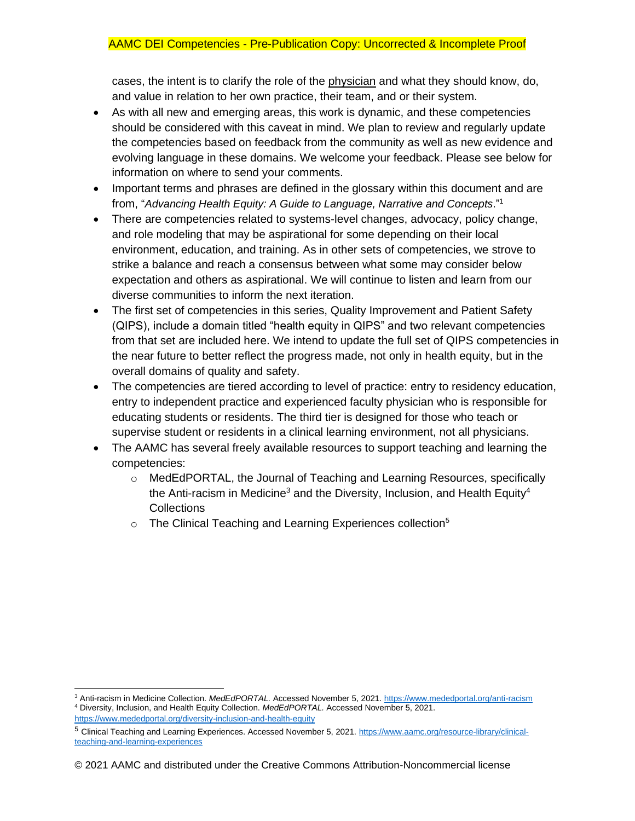cases, the intent is to clarify the role of the physician and what they should know, do, and value in relation to her own practice, their team, and or their system.

- As with all new and emerging areas, this work is dynamic, and these competencies should be considered with this caveat in mind. We plan to review and regularly update the competencies based on feedback from the community as well as new evidence and evolving language in these domains. We welcome your feedback. Please see below for information on where to send your comments.
- Important terms and phrases are defined in the glossary within this document and are from, "*Advancing Health Equity: A Guide to Language, Narrative and Concepts*."<sup>1</sup>
- There are competencies related to systems-level changes, advocacy, policy change, and role modeling that may be aspirational for some depending on their local environment, education, and training. As in other sets of competencies, we strove to strike a balance and reach a consensus between what some may consider below expectation and others as aspirational. We will continue to listen and learn from our diverse communities to inform the next iteration.
- The first set of competencies in this series, Quality Improvement and Patient Safety (QIPS), include a domain titled "health equity in QIPS" and two relevant competencies from that set are included here. We intend to update the full set of QIPS competencies in the near future to better reflect the progress made, not only in health equity, but in the overall domains of quality and safety.
- The competencies are tiered according to level of practice: entry to residency education, entry to independent practice and experienced faculty physician who is responsible for educating students or residents. The third tier is designed for those who teach or supervise student or residents in a clinical learning environment, not all physicians.
- The AAMC has several freely available resources to support teaching and learning the competencies:
	- o MedEdPORTAL, the Journal of Teaching and Learning Resources, specifically the Anti-racism in Medicine<sup>3</sup> and the Diversity, Inclusion, and Health Equity<sup>4</sup> **Collections**
	- $\circ$  The Clinical Teaching and Learning Experiences collection<sup>5</sup>

<sup>3</sup> Anti-racism in Medicine Collection. *MedEdPORTAL.* Accessed November 5, 2021[. https://www.mededportal.org/anti-racism](https://www.mededportal.org/anti-racism) <sup>4</sup> Diversity, Inclusion, and Health Equity Collection. *MedEdPORTAL.* Accessed November 5, 2021.

<https://www.mededportal.org/diversity-inclusion-and-health-equity>

<sup>5</sup> Clinical Teaching and Learning Experiences. Accessed November 5, 2021. [https://www.aamc.org/resource-library/clinical](https://www.aamc.org/resource-library/clinical-teaching-and-learning-experiences)[teaching-and-learning-experiences](https://www.aamc.org/resource-library/clinical-teaching-and-learning-experiences)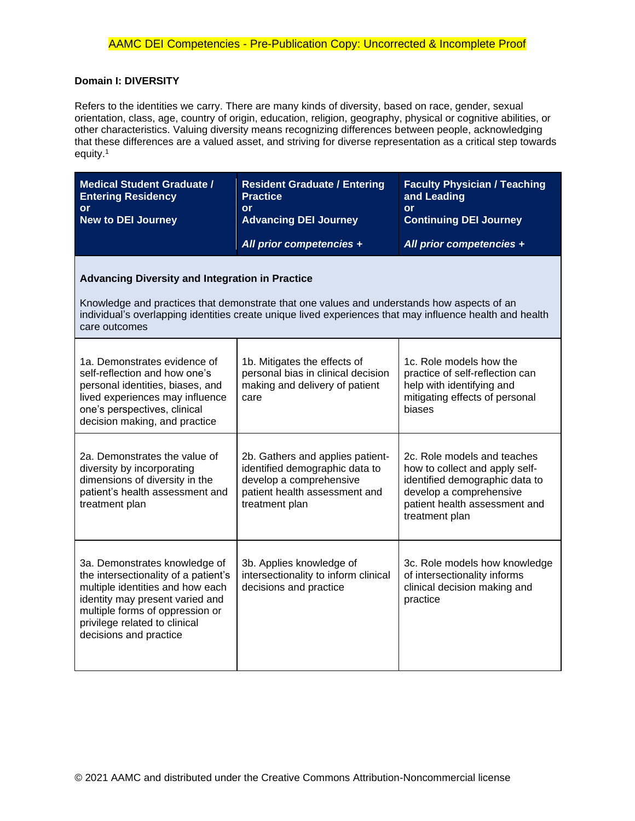## **Domain I: DIVERSITY**

Refers to the identities we carry. There are many kinds of diversity, based on race, gender, sexual orientation, class, age, country of origin, education, religion, geography, physical or cognitive abilities, or other characteristics. Valuing diversity means recognizing differences between people, acknowledging that these differences are a valued asset, and striving for diverse representation as a critical step towards equity.<sup>1</sup>

| <b>Medical Student Graduate /</b><br><b>Entering Residency</b><br><b>or</b><br><b>New to DEI Journey</b>                                                                                                                                                         | <b>Resident Graduate / Entering</b><br><b>Practice</b><br><b>or</b><br><b>Advancing DEI Journey</b>                                              | <b>Faculty Physician / Teaching</b><br>and Leading<br><b>or</b><br><b>Continuing DEI Journey</b>                                                                              |
|------------------------------------------------------------------------------------------------------------------------------------------------------------------------------------------------------------------------------------------------------------------|--------------------------------------------------------------------------------------------------------------------------------------------------|-------------------------------------------------------------------------------------------------------------------------------------------------------------------------------|
|                                                                                                                                                                                                                                                                  | All prior competencies +                                                                                                                         | All prior competencies +                                                                                                                                                      |
| <b>Advancing Diversity and Integration in Practice</b><br>Knowledge and practices that demonstrate that one values and understands how aspects of an<br>individual's overlapping identities create unique lived experiences that may influence health and health |                                                                                                                                                  |                                                                                                                                                                               |
| care outcomes                                                                                                                                                                                                                                                    |                                                                                                                                                  |                                                                                                                                                                               |
| 1a. Demonstrates evidence of<br>self-reflection and how one's<br>personal identities, biases, and<br>lived experiences may influence<br>one's perspectives, clinical<br>decision making, and practice                                                            | 1b. Mitigates the effects of<br>personal bias in clinical decision<br>making and delivery of patient<br>care                                     | 1c. Role models how the<br>practice of self-reflection can<br>help with identifying and<br>mitigating effects of personal<br>biases                                           |
| 2a. Demonstrates the value of<br>diversity by incorporating<br>dimensions of diversity in the<br>patient's health assessment and<br>treatment plan                                                                                                               | 2b. Gathers and applies patient-<br>identified demographic data to<br>develop a comprehensive<br>patient health assessment and<br>treatment plan | 2c. Role models and teaches<br>how to collect and apply self-<br>identified demographic data to<br>develop a comprehensive<br>patient health assessment and<br>treatment plan |
| 3a. Demonstrates knowledge of<br>the intersectionality of a patient's<br>multiple identities and how each<br>identity may present varied and<br>multiple forms of oppression or<br>privilege related to clinical<br>decisions and practice                       | 3b. Applies knowledge of<br>intersectionality to inform clinical<br>decisions and practice                                                       | 3c. Role models how knowledge<br>of intersectionality informs<br>clinical decision making and<br>practice                                                                     |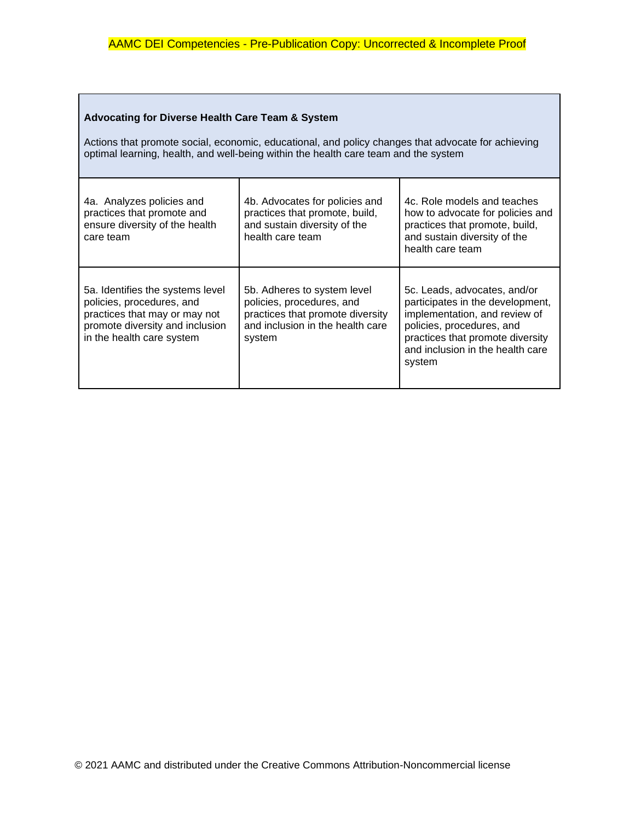# **Advocating for Diverse Health Care Team & System**

Actions that promote social, economic, educational, and policy changes that advocate for achieving optimal learning, health, and well-being within the health care team and the system

| 4a. Analyzes policies and<br>practices that promote and<br>ensure diversity of the health<br>care team                                                         | 4b. Advocates for policies and<br>practices that promote, build,<br>and sustain diversity of the<br>health care team                       | 4c. Role models and teaches<br>how to advocate for policies and<br>practices that promote, build,<br>and sustain diversity of the<br>health care team                                                            |
|----------------------------------------------------------------------------------------------------------------------------------------------------------------|--------------------------------------------------------------------------------------------------------------------------------------------|------------------------------------------------------------------------------------------------------------------------------------------------------------------------------------------------------------------|
| 5a. Identifies the systems level<br>policies, procedures, and<br>practices that may or may not<br>promote diversity and inclusion<br>in the health care system | 5b. Adheres to system level<br>policies, procedures, and<br>practices that promote diversity<br>and inclusion in the health care<br>system | 5c. Leads, advocates, and/or<br>participates in the development,<br>implementation, and review of<br>policies, procedures, and<br>practices that promote diversity<br>and inclusion in the health care<br>system |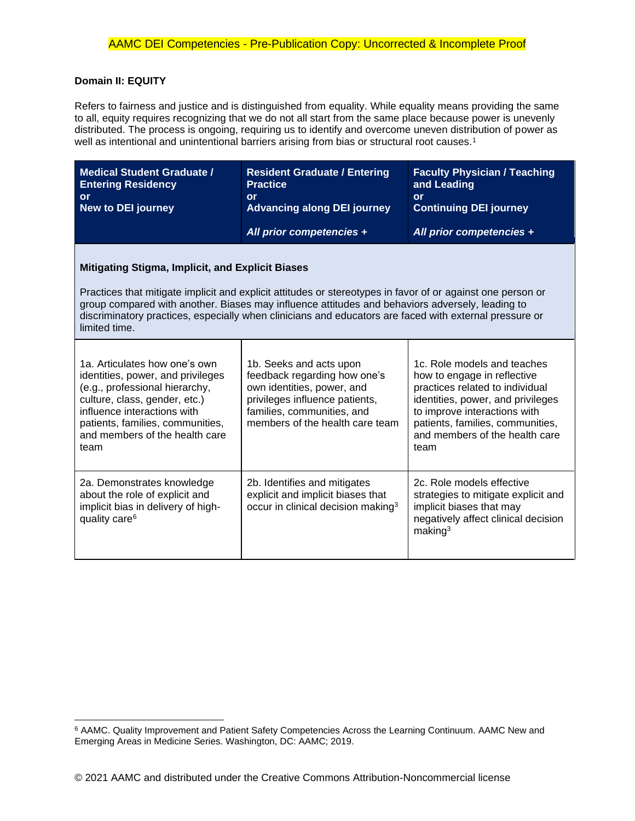#### **Domain II: EQUITY**

Refers to fairness and justice and is distinguished from equality. While equality means providing the same to all, equity requires recognizing that we do not all start from the same place because power is unevenly distributed. The process is ongoing, requiring us to identify and overcome uneven distribution of power as well as intentional and unintentional barriers arising from bias or structural root causes.<sup>1</sup>

| <b>Medical Student Graduate /</b><br><b>Entering Residency</b><br>or<br><b>New to DEI journey</b>                                                                                                                                                                                                                                                                                                    | <b>Resident Graduate / Entering</b><br><b>Practice</b><br>or<br><b>Advancing along DEI journey</b><br>All prior competencies +                                                           | <b>Faculty Physician / Teaching</b><br>and Leading<br>or<br><b>Continuing DEI journey</b><br>All prior competencies +                                                                                                                            |
|------------------------------------------------------------------------------------------------------------------------------------------------------------------------------------------------------------------------------------------------------------------------------------------------------------------------------------------------------------------------------------------------------|------------------------------------------------------------------------------------------------------------------------------------------------------------------------------------------|--------------------------------------------------------------------------------------------------------------------------------------------------------------------------------------------------------------------------------------------------|
| <b>Mitigating Stigma, Implicit, and Explicit Biases</b><br>Practices that mitigate implicit and explicit attitudes or stereotypes in favor of or against one person or<br>group compared with another. Biases may influence attitudes and behaviors adversely, leading to<br>discriminatory practices, especially when clinicians and educators are faced with external pressure or<br>limited time. |                                                                                                                                                                                          |                                                                                                                                                                                                                                                  |
| 1a. Articulates how one's own<br>identities, power, and privileges<br>(e.g., professional hierarchy,<br>culture, class, gender, etc.)<br>influence interactions with<br>patients, families, communities,<br>and members of the health care<br>team                                                                                                                                                   | 1b. Seeks and acts upon<br>feedback regarding how one's<br>own identities, power, and<br>privileges influence patients,<br>families, communities, and<br>members of the health care team | 1c. Role models and teaches<br>how to engage in reflective<br>practices related to individual<br>identities, power, and privileges<br>to improve interactions with<br>patients, families, communities,<br>and members of the health care<br>team |
| 2a. Demonstrates knowledge<br>about the role of explicit and<br>implicit bias in delivery of high-<br>quality care <sup>6</sup>                                                                                                                                                                                                                                                                      | 2b. Identifies and mitigates<br>explicit and implicit biases that<br>occur in clinical decision making <sup>3</sup>                                                                      | 2c. Role models effective<br>strategies to mitigate explicit and<br>implicit biases that may<br>negatively affect clinical decision<br>making <sup>3</sup>                                                                                       |

<sup>6</sup> AAMC. Quality Improvement and Patient Safety Competencies Across the Learning Continuum. AAMC New and Emerging Areas in Medicine Series. Washington, DC: AAMC; 2019.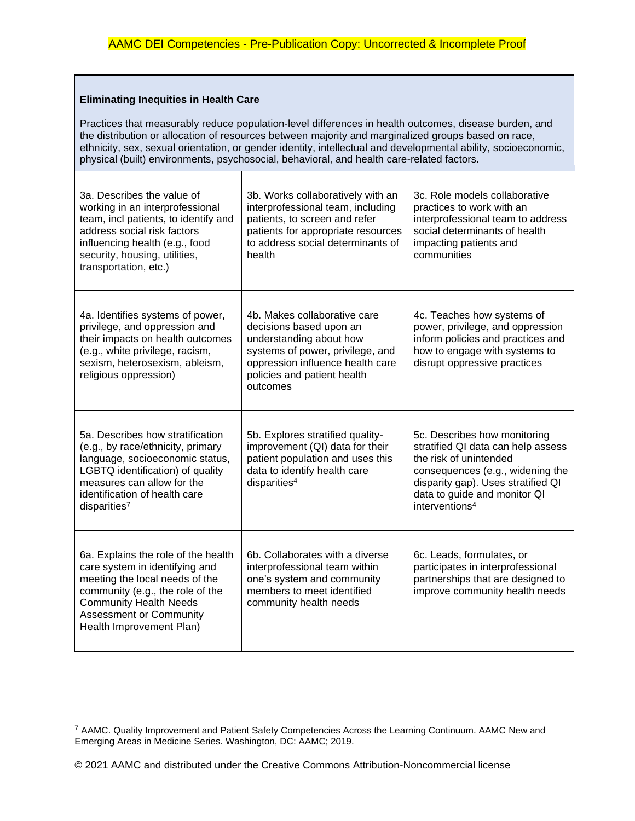## **Eliminating Inequities in Health Care**

 $\overline{\mathbf{r}}$ 

Practices that measurably reduce population-level differences in health outcomes, disease burden, and the distribution or allocation of resources between majority and marginalized groups based on race, ethnicity, sex, sexual orientation, or gender identity, intellectual and developmental ability, socioeconomic, physical (built) environments, psychosocial, behavioral, and health care-related factors.

 $\overline{\mathsf{T}}$ 

| 3a. Describes the value of<br>working in an interprofessional<br>team, incl patients, to identify and<br>address social risk factors<br>influencing health (e.g., food<br>security, housing, utilities,<br>transportation, etc.)           | 3b. Works collaboratively with an<br>interprofessional team, including<br>patients, to screen and refer<br>patients for appropriate resources<br>to address social determinants of<br>health          | 3c. Role models collaborative<br>practices to work with an<br>interprofessional team to address<br>social determinants of health<br>impacting patients and<br>communities                                                            |
|--------------------------------------------------------------------------------------------------------------------------------------------------------------------------------------------------------------------------------------------|-------------------------------------------------------------------------------------------------------------------------------------------------------------------------------------------------------|--------------------------------------------------------------------------------------------------------------------------------------------------------------------------------------------------------------------------------------|
| 4a. Identifies systems of power,<br>privilege, and oppression and<br>their impacts on health outcomes<br>(e.g., white privilege, racism,<br>sexism, heterosexism, ableism,<br>religious oppression)                                        | 4b. Makes collaborative care<br>decisions based upon an<br>understanding about how<br>systems of power, privilege, and<br>oppression influence health care<br>policies and patient health<br>outcomes | 4c. Teaches how systems of<br>power, privilege, and oppression<br>inform policies and practices and<br>how to engage with systems to<br>disrupt oppressive practices                                                                 |
| 5a. Describes how stratification<br>(e.g., by race/ethnicity, primary<br>language, socioeconomic status,<br>LGBTQ identification) of quality<br>measures can allow for the<br>identification of health care<br>disparities <sup>7</sup>    | 5b. Explores stratified quality-<br>improvement (QI) data for their<br>patient population and uses this<br>data to identify health care<br>disparities <sup>4</sup>                                   | 5c. Describes how monitoring<br>stratified QI data can help assess<br>the risk of unintended<br>consequences (e.g., widening the<br>disparity gap). Uses stratified QI<br>data to guide and monitor QI<br>interventions <sup>4</sup> |
| 6a. Explains the role of the health<br>care system in identifying and<br>meeting the local needs of the<br>community (e.g., the role of the<br><b>Community Health Needs</b><br><b>Assessment or Community</b><br>Health Improvement Plan) | 6b. Collaborates with a diverse<br>interprofessional team within<br>one's system and community<br>members to meet identified<br>community health needs                                                | 6c. Leads, formulates, or<br>participates in interprofessional<br>partnerships that are designed to<br>improve community health needs                                                                                                |

<sup>7</sup> AAMC. Quality Improvement and Patient Safety Competencies Across the Learning Continuum. AAMC New and Emerging Areas in Medicine Series. Washington, DC: AAMC; 2019.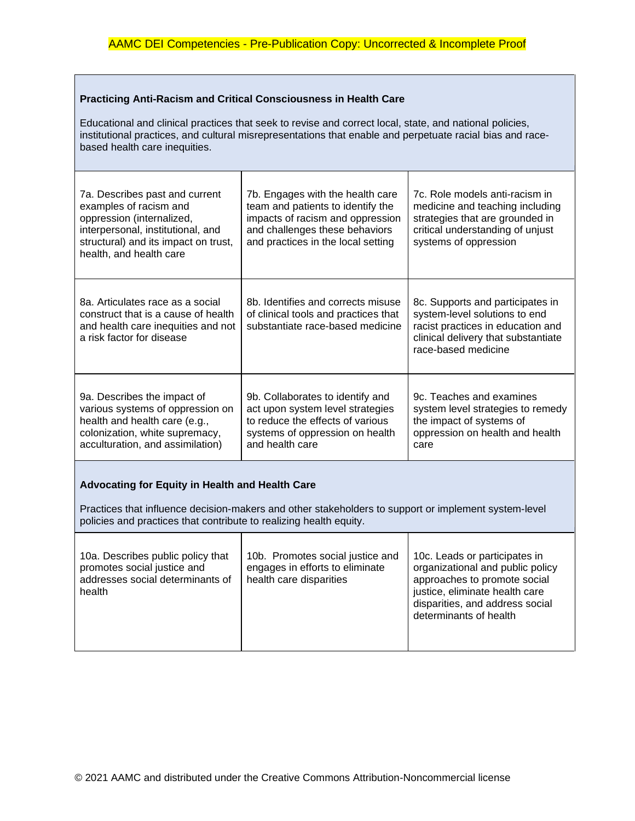#### **Practicing Anti-Racism and Critical Consciousness in Health Care**

Educational and clinical practices that seek to revise and correct local, state, and national policies, institutional practices, and cultural misrepresentations that enable and perpetuate racial bias and racebased health care inequities.

| 7a. Describes past and current<br>examples of racism and<br>oppression (internalized,<br>interpersonal, institutional, and<br>structural) and its impact on trust,<br>health, and health care | 7b. Engages with the health care<br>team and patients to identify the<br>impacts of racism and oppression<br>and challenges these behaviors<br>and practices in the local setting | 7c. Role models anti-racism in<br>medicine and teaching including<br>strategies that are grounded in<br>critical understanding of unjust<br>systems of oppression    |
|-----------------------------------------------------------------------------------------------------------------------------------------------------------------------------------------------|-----------------------------------------------------------------------------------------------------------------------------------------------------------------------------------|----------------------------------------------------------------------------------------------------------------------------------------------------------------------|
| 8a. Articulates race as a social<br>construct that is a cause of health.<br>and health care inequities and not<br>a risk factor for disease                                                   | 8b. Identifies and corrects misuse<br>of clinical tools and practices that<br>substantiate race-based medicine                                                                    | 8c. Supports and participates in<br>system-level solutions to end<br>racist practices in education and<br>clinical delivery that substantiate<br>race-based medicine |
| 9a. Describes the impact of<br>various systems of oppression on<br>health and health care (e.g.,<br>colonization, white supremacy,<br>acculturation, and assimilation)                        | 9b. Collaborates to identify and<br>act upon system level strategies<br>to reduce the effects of various<br>systems of oppression on health<br>and health care                    | 9c. Teaches and examines<br>system level strategies to remedy<br>the impact of systems of<br>oppression on health and health<br>care                                 |

### **Advocating for Equity in Health and Health Care**

Practices that influence decision-makers and other stakeholders to support or implement system-level policies and practices that contribute to realizing health equity.

| 10a. Describes public policy that<br>promotes social justice and<br>addresses social determinants of<br>health | 10b. Promotes social justice and<br>engages in efforts to eliminate<br>health care disparities | 10c. Leads or participates in<br>organizational and public policy<br>approaches to promote social<br>justice, eliminate health care<br>disparities, and address social<br>determinants of health |
|----------------------------------------------------------------------------------------------------------------|------------------------------------------------------------------------------------------------|--------------------------------------------------------------------------------------------------------------------------------------------------------------------------------------------------|
|----------------------------------------------------------------------------------------------------------------|------------------------------------------------------------------------------------------------|--------------------------------------------------------------------------------------------------------------------------------------------------------------------------------------------------|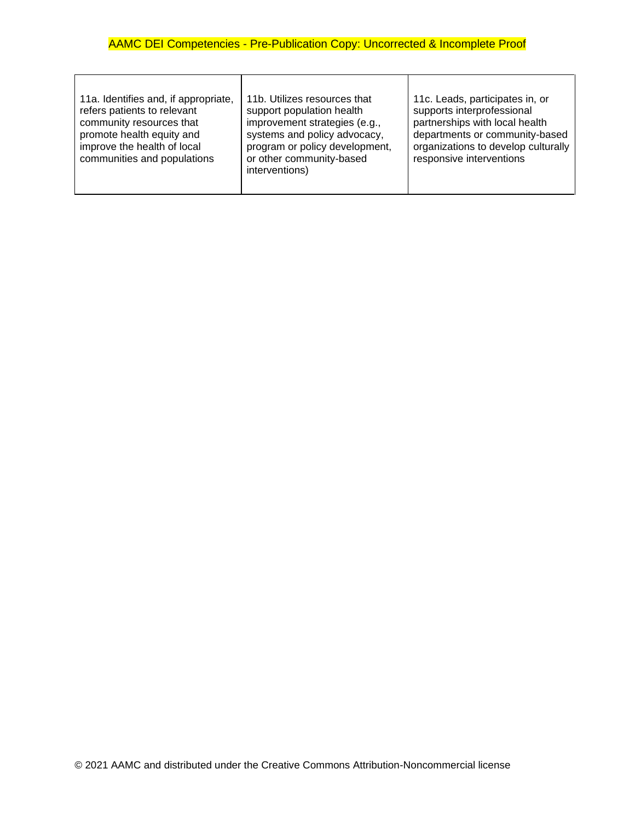$\overline{\phantom{a}}$ 

 $\overline{\mathbf{r}}$ 

 $\overline{\phantom{a}}$ 

| 11a. Identifies and, if appropriate,<br>refers patients to relevant<br>community resources that<br>promote health equity and<br>improve the health of local<br>communities and populations | 11b. Utilizes resources that<br>support population health<br>improvement strategies (e.g.,<br>systems and policy advocacy,<br>program or policy development,<br>or other community-based<br>interventions) | 11c. Leads, participates in, or<br>supports interprofessional<br>partnerships with local health<br>departments or community-based<br>organizations to develop culturally<br>responsive interventions |
|--------------------------------------------------------------------------------------------------------------------------------------------------------------------------------------------|------------------------------------------------------------------------------------------------------------------------------------------------------------------------------------------------------------|------------------------------------------------------------------------------------------------------------------------------------------------------------------------------------------------------|
|--------------------------------------------------------------------------------------------------------------------------------------------------------------------------------------------|------------------------------------------------------------------------------------------------------------------------------------------------------------------------------------------------------------|------------------------------------------------------------------------------------------------------------------------------------------------------------------------------------------------------|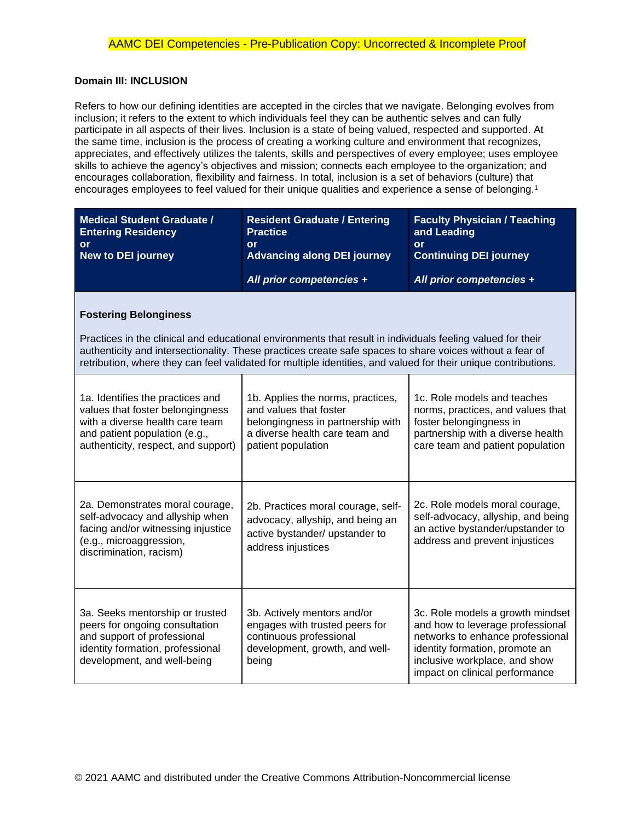#### **Domain III: INCLUSION**

Refers to how our defining identities are accepted in the circles that we navigate. Belonging evolves from inclusion; it refers to the extent to which individuals feel they can be authentic selves and can fully participate in all aspects of their lives. Inclusion is a state of being valued, respected and supported. At the same time, inclusion is the process of creating a working culture and environment that recognizes, appreciates, and effectively utilizes the talents, skills and perspectives of every employee; uses employee skills to achieve the agency's objectives and mission; connects each employee to the organization; and encourages collaboration, flexibility and fairness. In total, inclusion is a set of behaviors (culture) that encourages employees to feel valued for their unique qualities and experience a sense of belonging.<sup>1</sup>

| <b>Medical Student Graduate /</b><br><b>Entering Residency</b><br>or<br><b>New to DEI journey</b>                                                                               | <b>Resident Graduate / Entering</b><br><b>Practice</b><br><b>or</b><br><b>Advancing along DEI journey</b>                                                                                                                                                                                                                                | <b>Faculty Physician / Teaching</b><br>and Leading<br>or<br><b>Continuing DEI journey</b>                                                                                                                     |
|---------------------------------------------------------------------------------------------------------------------------------------------------------------------------------|------------------------------------------------------------------------------------------------------------------------------------------------------------------------------------------------------------------------------------------------------------------------------------------------------------------------------------------|---------------------------------------------------------------------------------------------------------------------------------------------------------------------------------------------------------------|
|                                                                                                                                                                                 | All prior competencies +                                                                                                                                                                                                                                                                                                                 | All prior competencies +                                                                                                                                                                                      |
| <b>Fostering Belonginess</b>                                                                                                                                                    |                                                                                                                                                                                                                                                                                                                                          |                                                                                                                                                                                                               |
|                                                                                                                                                                                 | Practices in the clinical and educational environments that result in individuals feeling valued for their<br>authenticity and intersectionality. These practices create safe spaces to share voices without a fear of<br>retribution, where they can feel validated for multiple identities, and valued for their unique contributions. |                                                                                                                                                                                                               |
| 1a. Identifies the practices and<br>values that foster belongingness<br>with a diverse health care team<br>and patient population (e.g.,<br>authenticity, respect, and support) | 1b. Applies the norms, practices,<br>and values that foster<br>belongingness in partnership with<br>a diverse health care team and<br>patient population                                                                                                                                                                                 | 1c. Role models and teaches<br>norms, practices, and values that<br>foster belongingness in<br>partnership with a diverse health<br>care team and patient population                                          |
| 2a. Demonstrates moral courage,<br>self-advocacy and allyship when<br>facing and/or witnessing injustice<br>(e.g., microaggression,<br>discrimination, racism)                  | 2b. Practices moral courage, self-<br>advocacy, allyship, and being an<br>active bystander/ upstander to<br>address injustices                                                                                                                                                                                                           | 2c. Role models moral courage,<br>self-advocacy, allyship, and being<br>an active bystander/upstander to<br>address and prevent injustices                                                                    |
| 3a. Seeks mentorship or trusted<br>peers for ongoing consultation<br>and support of professional<br>identity formation, professional<br>development, and well-being             | 3b. Actively mentors and/or<br>engages with trusted peers for<br>continuous professional<br>development, growth, and well-<br>being                                                                                                                                                                                                      | 3c. Role models a growth mindset<br>and how to leverage professional<br>networks to enhance professional<br>identity formation, promote an<br>inclusive workplace, and show<br>impact on clinical performance |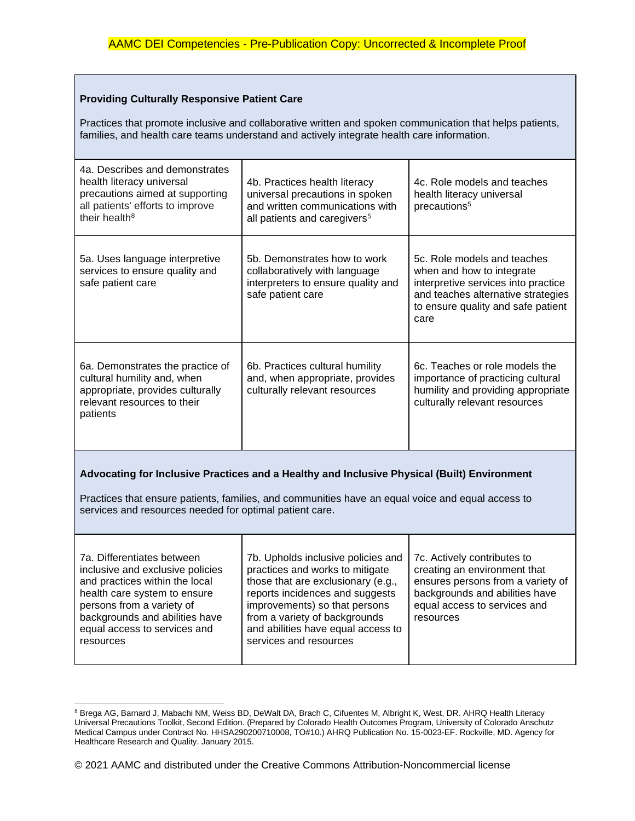### **Providing Culturally Responsive Patient Care**

Practices that promote inclusive and collaborative written and spoken communication that helps patients, families, and health care teams understand and actively integrate health care information.

| 4a. Describes and demonstrates<br>health literacy universal<br>precautions aimed at supporting<br>all patients' efforts to improve<br>their health <sup>8</sup>                                                                                             | 4b. Practices health literacy<br>universal precautions in spoken<br>and written communications with<br>all patients and caregivers <sup>5</sup> | 4c. Role models and teaches<br>health literacy universal<br>precautions <sup>5</sup>                                                                                                |
|-------------------------------------------------------------------------------------------------------------------------------------------------------------------------------------------------------------------------------------------------------------|-------------------------------------------------------------------------------------------------------------------------------------------------|-------------------------------------------------------------------------------------------------------------------------------------------------------------------------------------|
| 5a. Uses language interpretive<br>services to ensure quality and<br>safe patient care                                                                                                                                                                       | 5b. Demonstrates how to work<br>collaboratively with language<br>interpreters to ensure quality and<br>safe patient care                        | 5c. Role models and teaches<br>when and how to integrate<br>interpretive services into practice<br>and teaches alternative strategies<br>to ensure quality and safe patient<br>care |
| 6a. Demonstrates the practice of<br>cultural humility and, when<br>appropriate, provides culturally<br>relevant resources to their<br>patients                                                                                                              | 6b. Practices cultural humility<br>and, when appropriate, provides<br>culturally relevant resources                                             | 6c. Teaches or role models the<br>importance of practicing cultural<br>humility and providing appropriate<br>culturally relevant resources                                          |
| Advocating for Inclusive Practices and a Healthy and Inclusive Physical (Built) Environment<br>Practices that ensure patients, families, and communities have an equal voice and equal access to<br>services and resources needed for optimal patient care. |                                                                                                                                                 |                                                                                                                                                                                     |
| 7a. Differentiates between<br>inclusive and exclusive policies<br>and practices within the local<br>health care system to ensure                                                                                                                            | 7b. Upholds inclusive policies and<br>practices and works to mitigate<br>those that are exclusionary (e.g.,<br>reports incidences and suggests  | 7c. Actively contributes to<br>creating an environment that<br>ensures persons from a variety of<br>backgrounds and abilities have                                                  |

health care system to ensure persons from a variety of backgrounds and abilities have equal access to services and resources reports incidences and suggests improvements) so that persons from a variety of backgrounds and abilities have equal access to services and resources backgrounds and abilities have equal access to services and resources

<sup>&</sup>lt;sup>8</sup> Brega AG, Barnard J, Mabachi NM, Weiss BD, DeWalt DA, Brach C, Cifuentes M, Albright K, West, DR. AHRQ Health Literacy Universal Precautions Toolkit, Second Edition. (Prepared by Colorado Health Outcomes Program, University of Colorado Anschutz Medical Campus under Contract No. HHSA290200710008, TO#10.) AHRQ Publication No. 15-0023-EF. Rockville, MD. Agency for Healthcare Research and Quality. January 2015.

<sup>© 2021</sup> AAMC and distributed under the Creative Commons Attribution-Noncommercial license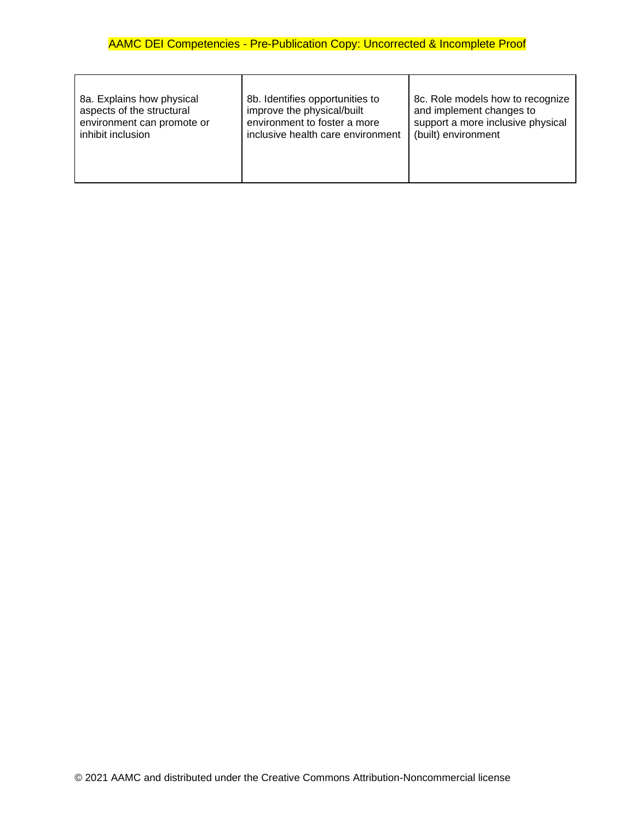| 8a. Explains how physical  | 8b. Identifies opportunities to   | 8c. Role models how to recognize  |
|----------------------------|-----------------------------------|-----------------------------------|
| aspects of the structural  | improve the physical/built        | and implement changes to          |
| environment can promote or | environment to foster a more      | support a more inclusive physical |
| inhibit inclusion          | inclusive health care environment | (built) environment               |

 $\overline{\mathbf{I}}$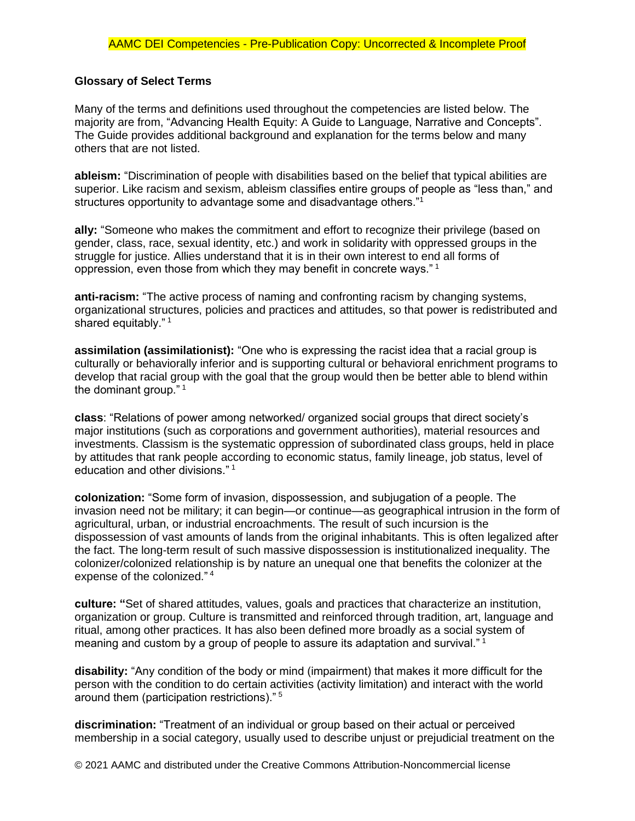## **Glossary of Select Terms**

Many of the terms and definitions used throughout the competencies are listed below. The majority are from, "Advancing Health Equity: A Guide to Language, Narrative and Concepts". The Guide provides additional background and explanation for the terms below and many others that are not listed.

**ableism:** "Discrimination of people with disabilities based on the belief that typical abilities are superior. Like racism and sexism, ableism classifies entire groups of people as "less than," and structures opportunity to advantage some and disadvantage others."<sup>1</sup>

**ally:** "Someone who makes the commitment and effort to recognize their privilege (based on gender, class, race, sexual identity, etc.) and work in solidarity with oppressed groups in the struggle for justice. Allies understand that it is in their own interest to end all forms of oppression, even those from which they may benefit in concrete ways." <sup>1</sup>

**anti-racism:** "The active process of naming and confronting racism by changing systems, organizational structures, policies and practices and attitudes, so that power is redistributed and shared equitably."<sup>1</sup>

**assimilation (assimilationist):** "One who is expressing the racist idea that a racial group is culturally or behaviorally inferior and is supporting cultural or behavioral enrichment programs to develop that racial group with the goal that the group would then be better able to blend within the dominant group."<sup>1</sup>

**class**: "Relations of power among networked/ organized social groups that direct society's major institutions (such as corporations and government authorities), material resources and investments. Classism is the systematic oppression of subordinated class groups, held in place by attitudes that rank people according to economic status, family lineage, job status, level of education and other divisions." <sup>1</sup>

**colonization:** "Some form of invasion, dispossession, and subjugation of a people. The invasion need not be military; it can begin—or continue—as geographical intrusion in the form of agricultural, urban, or industrial encroachments. The result of such incursion is the dispossession of vast amounts of lands from the original inhabitants. This is often legalized after the fact. The long-term result of such massive dispossession is institutionalized inequality. The colonizer/colonized relationship is by nature an unequal one that benefits the colonizer at the expense of the colonized."<sup>4</sup>

**culture: "**Set of shared attitudes, values, goals and practices that characterize an institution, organization or group. Culture is transmitted and reinforced through tradition, art, language and ritual, among other practices. It has also been defined more broadly as a social system of meaning and custom by a group of people to assure its adaptation and survival." <sup>1</sup>

**disability:** "Any condition of the body or mind (impairment) that makes it more difficult for the person with the condition to do certain activities (activity limitation) and interact with the world around them (participation restrictions)." <sup>5</sup>

**discrimination:** "Treatment of an individual or group based on their actual or perceived membership in a social category, usually used to describe unjust or prejudicial treatment on the

© 2021 AAMC and distributed under the Creative Commons Attribution-Noncommercial license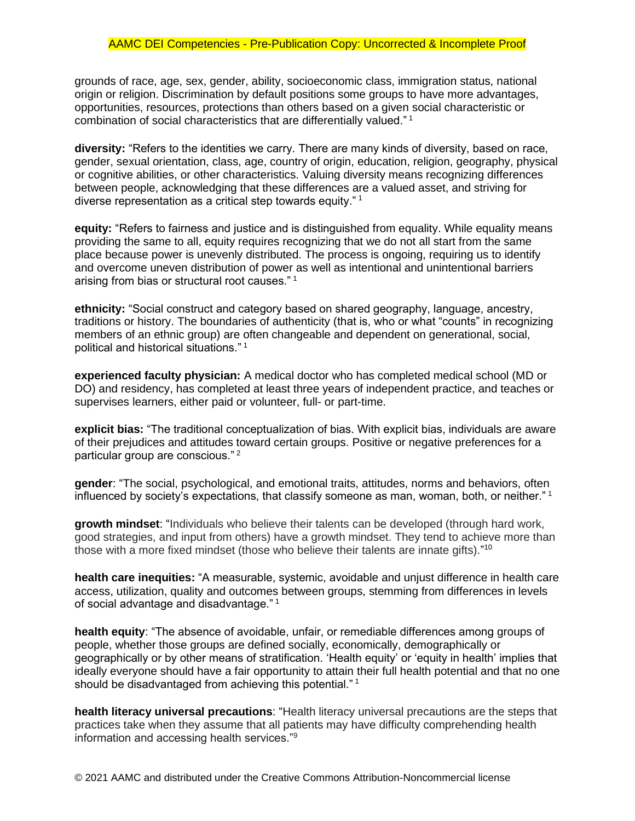grounds of race, age, sex, gender, ability, socioeconomic class, immigration status, national origin or religion. Discrimination by default positions some groups to have more advantages, opportunities, resources, protections than others based on a given social characteristic or combination of social characteristics that are differentially valued." <sup>1</sup>

**diversity:** "Refers to the identities we carry. There are many kinds of diversity, based on race, gender, sexual orientation, class, age, country of origin, education, religion, geography, physical or cognitive abilities, or other characteristics. Valuing diversity means recognizing differences between people, acknowledging that these differences are a valued asset, and striving for diverse representation as a critical step towards equity." <sup>1</sup>

**equity:** "Refers to fairness and justice and is distinguished from equality. While equality means providing the same to all, equity requires recognizing that we do not all start from the same place because power is unevenly distributed. The process is ongoing, requiring us to identify and overcome uneven distribution of power as well as intentional and unintentional barriers arising from bias or structural root causes." <sup>1</sup>

**ethnicity:** "Social construct and category based on shared geography, language, ancestry, traditions or history. The boundaries of authenticity (that is, who or what "counts" in recognizing members of an ethnic group) are often changeable and dependent on generational, social, political and historical situations." <sup>1</sup>

**experienced faculty physician:** A medical doctor who has completed medical school (MD or DO) and residency, has completed at least three years of independent practice, and teaches or supervises learners, either paid or volunteer, full- or part-time.

**explicit bias:** "The traditional conceptualization of bias. With explicit bias, individuals are aware of their prejudices and attitudes toward certain groups. Positive or negative preferences for a particular group are conscious." <sup>2</sup>

**gender**: "The social, psychological, and emotional traits, attitudes, norms and behaviors, often influenced by society's expectations, that classify someone as man, woman, both, or neither." <sup>1</sup>

**growth mindset**: "Individuals who believe their talents can be developed (through hard work, good strategies, and input from others) have a growth mindset. They tend to achieve more than those with a more fixed mindset (those who believe their talents are innate gifts)."<sup>10</sup>

**health care inequities:** "A measurable, systemic, avoidable and unjust difference in health care access, utilization, quality and outcomes between groups, stemming from differences in levels of social advantage and disadvantage." <sup>1</sup>

**health equity**: "The absence of avoidable, unfair, or remediable differences among groups of people, whether those groups are defined socially, economically, demographically or geographically or by other means of stratification. 'Health equity' or 'equity in health' implies that ideally everyone should have a fair opportunity to attain their full health potential and that no one should be disadvantaged from achieving this potential."<sup>1</sup>

**health literacy universal precautions**: "Health literacy universal precautions are the steps that practices take when they assume that all patients may have difficulty comprehending health information and accessing health services."9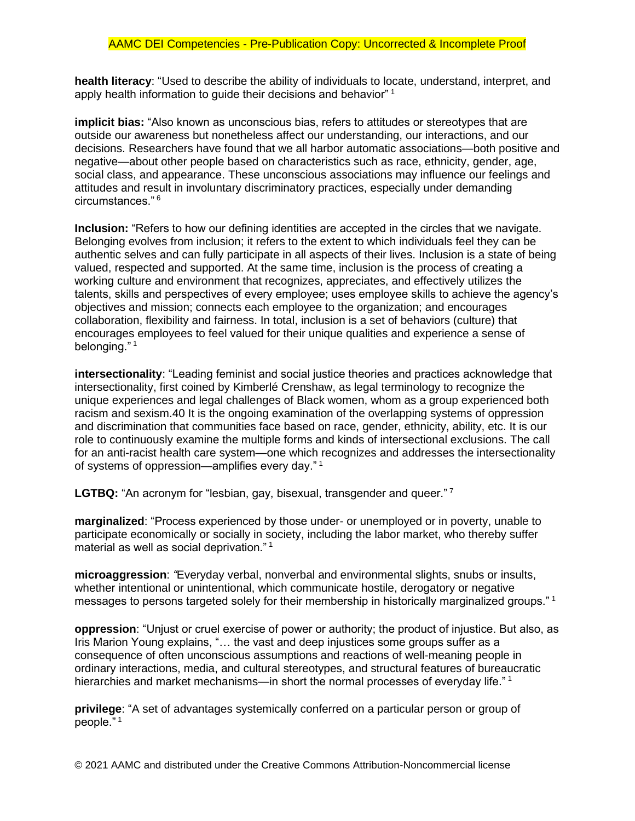**health literacy**: "Used to describe the ability of individuals to locate, understand, interpret, and apply health information to guide their decisions and behavior" <sup>1</sup>

**implicit bias:** "Also known as unconscious bias, refers to attitudes or stereotypes that are outside our awareness but nonetheless affect our understanding, our interactions, and our decisions. Researchers have found that we all harbor automatic associations—both positive and negative—about other people based on characteristics such as race, ethnicity, gender, age, social class, and appearance. These unconscious associations may influence our feelings and attitudes and result in involuntary discriminatory practices, especially under demanding circumstances." <sup>6</sup>

**Inclusion:** "Refers to how our defining identities are accepted in the circles that we navigate. Belonging evolves from inclusion; it refers to the extent to which individuals feel they can be authentic selves and can fully participate in all aspects of their lives. Inclusion is a state of being valued, respected and supported. At the same time, inclusion is the process of creating a working culture and environment that recognizes, appreciates, and effectively utilizes the talents, skills and perspectives of every employee; uses employee skills to achieve the agency's objectives and mission; connects each employee to the organization; and encourages collaboration, flexibility and fairness. In total, inclusion is a set of behaviors (culture) that encourages employees to feel valued for their unique qualities and experience a sense of belonging."<sup>1</sup>

**intersectionality**: "Leading feminist and social justice theories and practices acknowledge that intersectionality, first coined by Kimberlé Crenshaw, as legal terminology to recognize the unique experiences and legal challenges of Black women, whom as a group experienced both racism and sexism.40 It is the ongoing examination of the overlapping systems of oppression and discrimination that communities face based on race, gender, ethnicity, ability, etc. It is our role to continuously examine the multiple forms and kinds of intersectional exclusions. The call for an anti-racist health care system—one which recognizes and addresses the intersectionality of systems of oppression—amplifies every day." <sup>1</sup>

LGTBQ: "An acronym for "lesbian, gay, bisexual, transgender and queer."<sup>7</sup>

**marginalized**: "Process experienced by those under- or unemployed or in poverty, unable to participate economically or socially in society, including the labor market, who thereby suffer material as well as social deprivation." <sup>1</sup>

**microaggression**: *"*Everyday verbal, nonverbal and environmental slights, snubs or insults, whether intentional or unintentional, which communicate hostile, derogatory or negative messages to persons targeted solely for their membership in historically marginalized groups." <sup>1</sup>

**oppression**: "Unjust or cruel exercise of power or authority; the product of injustice. But also, as Iris Marion Young explains, "… the vast and deep injustices some groups suffer as a consequence of often unconscious assumptions and reactions of well-meaning people in ordinary interactions, media, and cultural stereotypes, and structural features of bureaucratic hierarchies and market mechanisms—in short the normal processes of everyday life."<sup>1</sup>

**privilege**: "A set of advantages systemically conferred on a particular person or group of people." <sup>1</sup>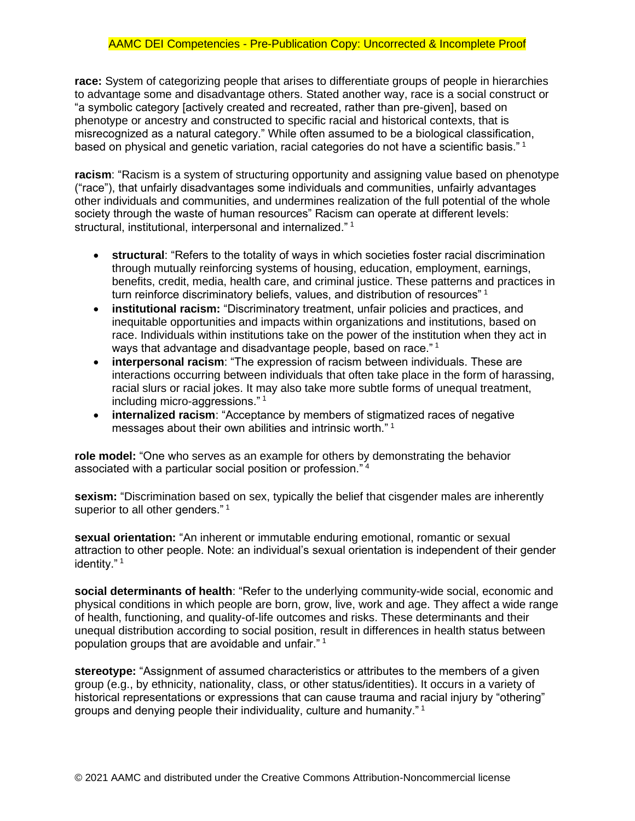**race:** System of categorizing people that arises to differentiate groups of people in hierarchies to advantage some and disadvantage others. Stated another way, race is a social construct or "a symbolic category [actively created and recreated, rather than pre-given], based on phenotype or ancestry and constructed to specific racial and historical contexts, that is misrecognized as a natural category." While often assumed to be a biological classification, based on physical and genetic variation, racial categories do not have a scientific basis."<sup>1</sup>

**racism**: "Racism is a system of structuring opportunity and assigning value based on phenotype ("race"), that unfairly disadvantages some individuals and communities, unfairly advantages other individuals and communities, and undermines realization of the full potential of the whole society through the waste of human resources" Racism can operate at different levels: structural, institutional, interpersonal and internalized." <sup>1</sup>

- **structural**: "Refers to the totality of ways in which societies foster racial discrimination through mutually reinforcing systems of housing, education, employment, earnings, benefits, credit, media, health care, and criminal justice. These patterns and practices in turn reinforce discriminatory beliefs, values, and distribution of resources" <sup>1</sup>
- **institutional racism:** "Discriminatory treatment, unfair policies and practices, and inequitable opportunities and impacts within organizations and institutions, based on race. Individuals within institutions take on the power of the institution when they act in ways that advantage and disadvantage people, based on race." <sup>1</sup>
- **interpersonal racism**: "The expression of racism between individuals. These are interactions occurring between individuals that often take place in the form of harassing, racial slurs or racial jokes. It may also take more subtle forms of unequal treatment, including micro-aggressions." <sup>1</sup>
- **internalized racism**: "Acceptance by members of stigmatized races of negative messages about their own abilities and intrinsic worth." <sup>1</sup>

**role model:** "One who serves as an example for others by demonstrating the behavior associated with a particular social position or profession." <sup>4</sup>

**sexism:** "Discrimination based on sex, typically the belief that cisgender males are inherently superior to all other genders."<sup>1</sup>

**sexual orientation:** "An inherent or immutable enduring emotional, romantic or sexual attraction to other people. Note: an individual's sexual orientation is independent of their gender identity."<sup>1</sup>

**social determinants of health**: "Refer to the underlying community-wide social, economic and physical conditions in which people are born, grow, live, work and age. They affect a wide range of health, functioning, and quality-of-life outcomes and risks. These determinants and their unequal distribution according to social position, result in differences in health status between population groups that are avoidable and unfair." <sup>1</sup>

**stereotype:** "Assignment of assumed characteristics or attributes to the members of a given group (e.g., by ethnicity, nationality, class, or other status/identities). It occurs in a variety of historical representations or expressions that can cause trauma and racial injury by "othering" groups and denying people their individuality, culture and humanity." <sup>1</sup>